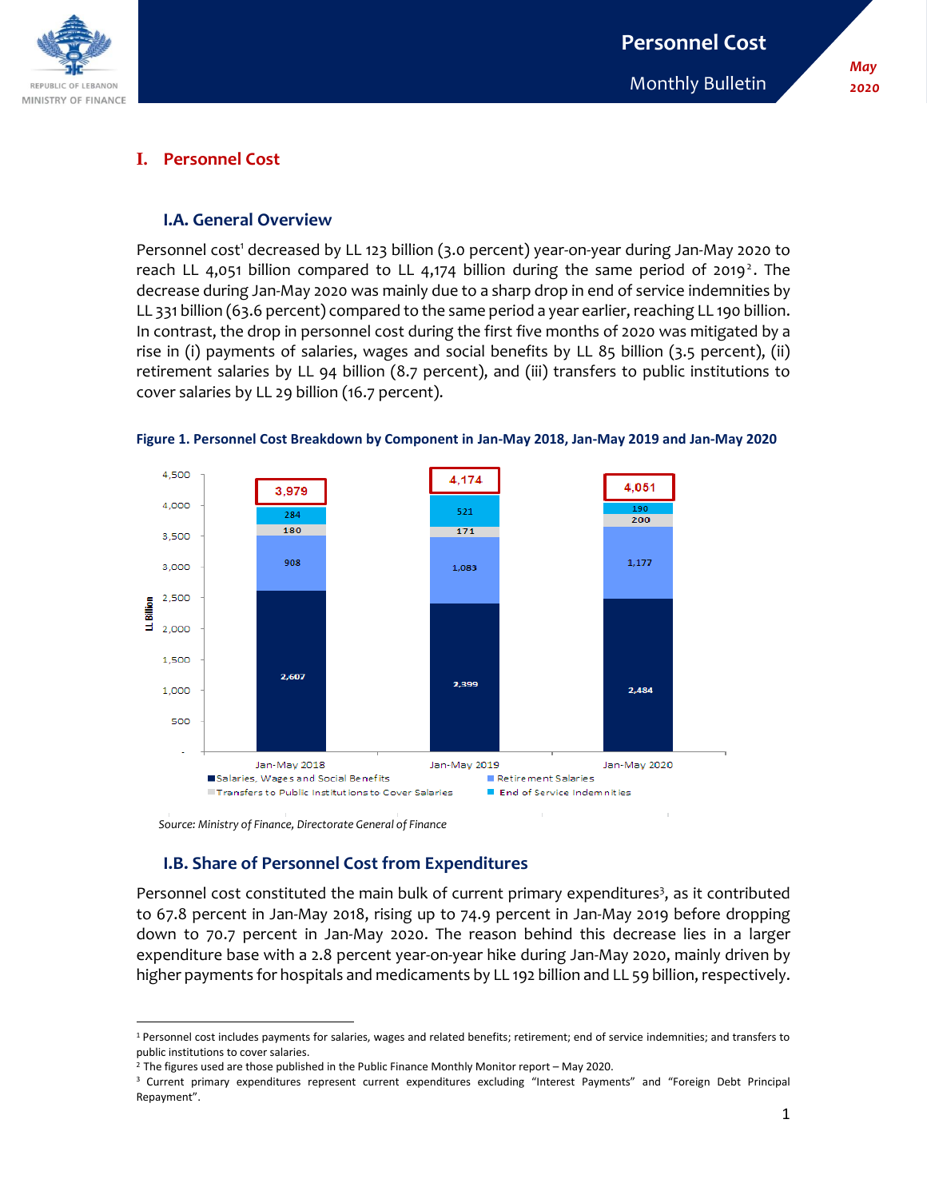

## **I. Personnel Cost**

#### **I.A. General Overview**

Personnel cost<sup>1</sup> decreased by LL 123 billion (3.0 percent) year-on-year during Jan-May 2020 to reach LL 4,051 billion compared to LL 4,174 billion during the same period of 2019<sup>2</sup>. The decrease during Jan-May 2020 was mainly due to a sharp drop in end of service indemnities by LL 331 billion (63.6 percent) compared to the same period a year earlier, reaching LL 190 billion. In contrast, the drop in personnel cost during the first five months of 2020 was mitigated by a rise in (i) payments of salaries, wages and social benefits by LL 85 billion (3.5 percent), (ii) retirement salaries by LL 94 billion (8.7 percent), and (iii) transfers to public institutions to cover salaries by LL 29 billion (16.7 percent).



**Figure 1. Personnel Cost Breakdown by Component in Jan-May 2018, Jan-May 2019 and Jan-May 2020**

 *Source: Ministry of Finance, Directorate General of Finance*

# **I.B. Share of Personnel Cost from Expenditures**

Personnel cost constituted the main bulk of current primary expenditures<sup>3</sup>, as it contributed to 67.8 percent in Jan-May 2018, rising up to 74.9 percent in Jan-May 2019 before dropping down to 70.7 percent in Jan-May 2020. The reason behind this decrease lies in a larger expenditure base with a 2.8 percent year-on-year hike during Jan-May 2020, mainly driven by higher payments for hospitals and medicaments by LL 192 billion and LL 59 billion, respectively.

 $\overline{\phantom{a}}$ <sup>1</sup> Personnel cost includes payments for salaries, wages and related benefits; retirement; end of service indemnities; and transfers to public institutions to cover salaries.

 $2$  The figures used are those published in the Public Finance Monthly Monitor report – May 2020.

<sup>&</sup>lt;sup>3</sup> Current primary expenditures represent current expenditures excluding "Interest Payments" and "Foreign Debt Principal Repayment".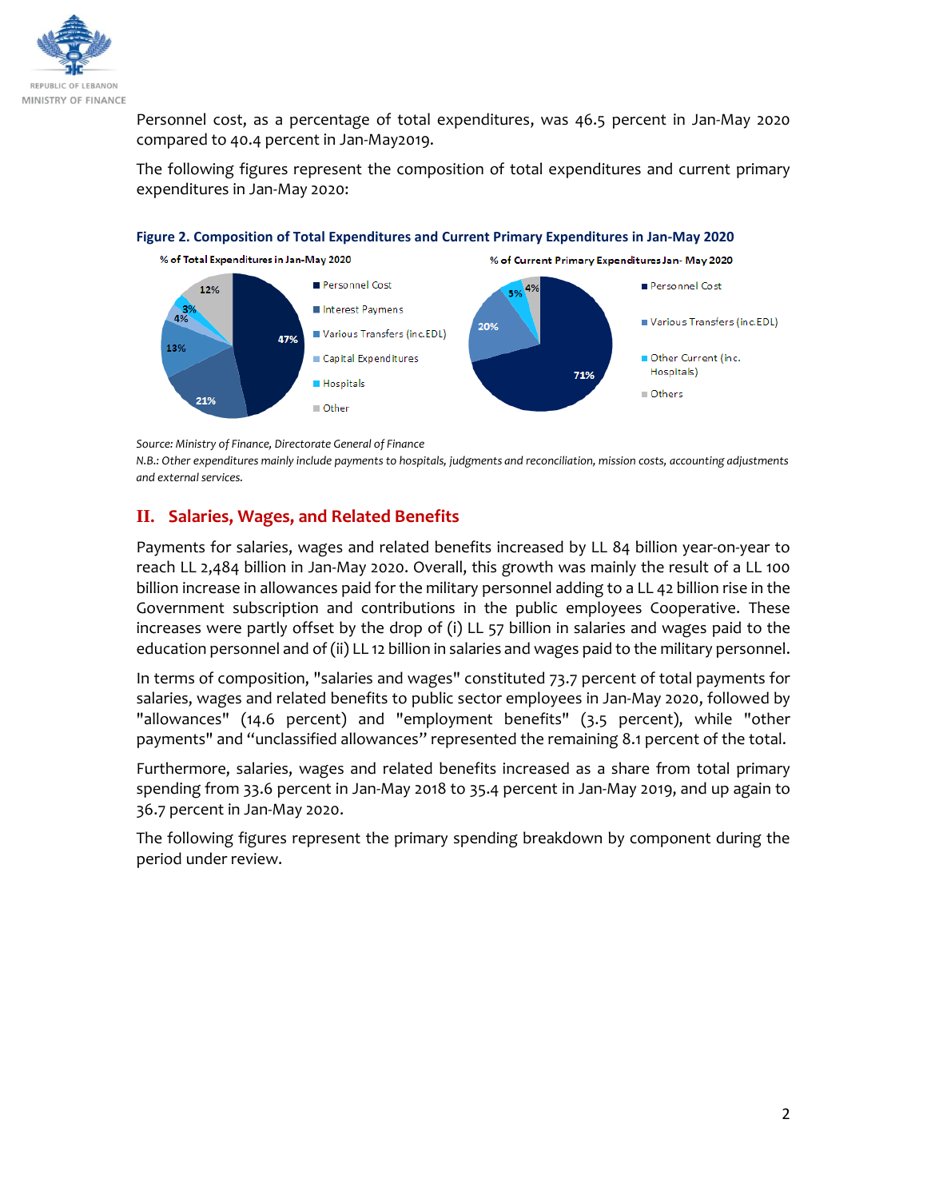

Personnel cost, as a percentage of total expenditures, was 46.5 percent in Jan-May 2020 compared to 40.4 percent in Jan-May2019.

The following figures represent the composition of total expenditures and current primary expenditures in Jan-May 2020:



**Figure 2. Composition of Total Expenditures and Current Primary Expenditures in Jan-May 2020**

*Source: Ministry of Finance, Directorate General of Finance* 

*N.B.: Other expenditures mainly include payments to hospitals, judgments and reconciliation, mission costs, accounting adjustments and external services.* 

## **II. Salaries, Wages, and Related Benefits**

Payments for salaries, wages and related benefits increased by LL 84 billion year-on-year to reach LL 2,484 billion in Jan-May 2020. Overall, this growth was mainly the result of a LL 100 billion increase in allowances paid for the military personnel adding to a LL 42 billion rise in the Government subscription and contributions in the public employees Cooperative. These increases were partly offset by the drop of (i) LL 57 billion in salaries and wages paid to the education personnel and of (ii) LL 12 billion in salaries and wages paid to the military personnel.

In terms of composition, "salaries and wages" constituted 73.7 percent of total payments for salaries, wages and related benefits to public sector employees in Jan-May 2020, followed by "allowances" (14.6 percent) and "employment benefits" (3.5 percent), while "other payments" and "unclassified allowances" represented the remaining 8.1 percent of the total.

Furthermore, salaries, wages and related benefits increased as a share from total primary spending from 33.6 percent in Jan-May 2018 to 35.4 percent in Jan-May 2019, and up again to 36.7 percent in Jan-May 2020.

The following figures represent the primary spending breakdown by component during the period under review.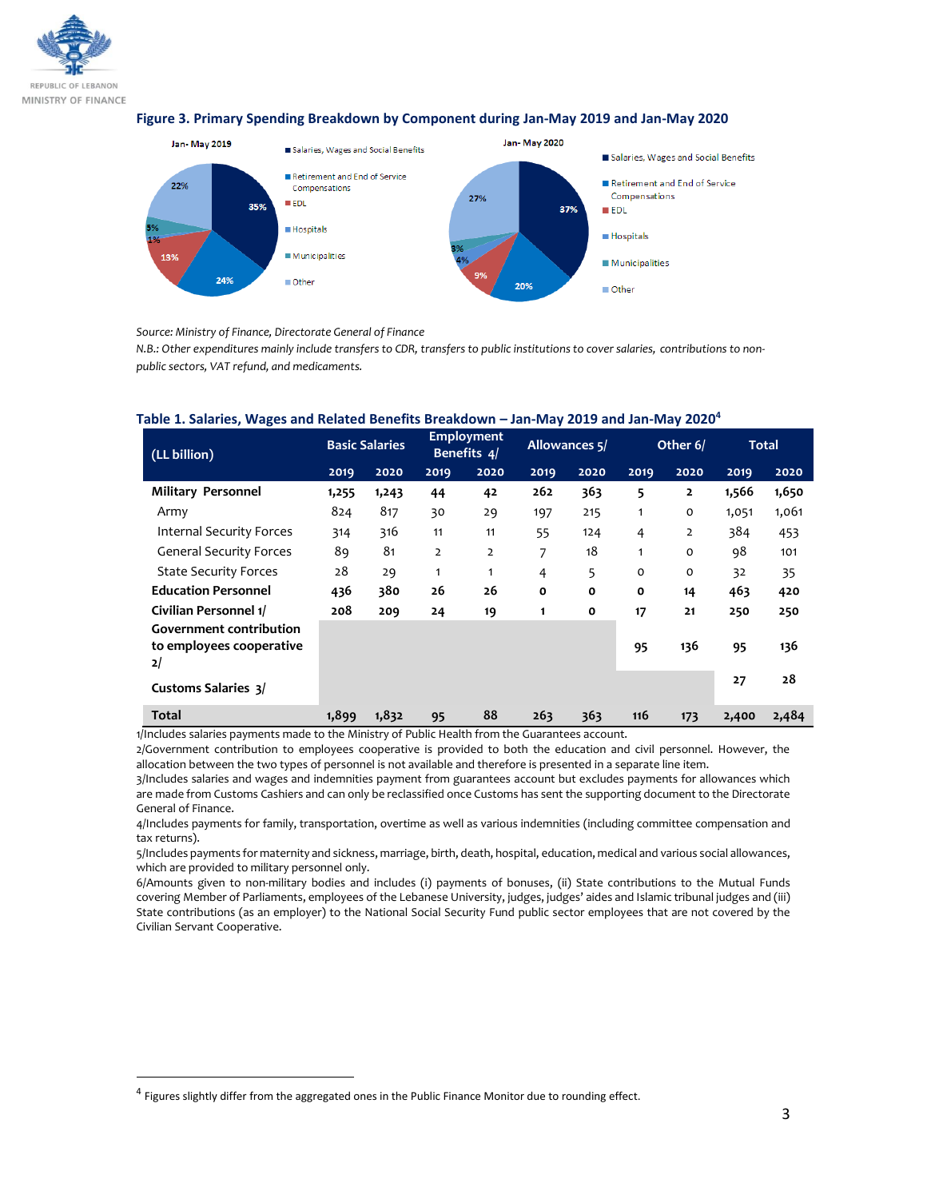

#### **Figure 3. Primary Spending Breakdown by Component during Jan-May 2019 and Jan-May 2020**



*Source: Ministry of Finance, Directorate General of Finance* 

*N.B.: Other expenditures mainly include transfers to CDR, transfers to public institutions to cover salaries, contributions to nonpublic sectors, VAT refund, and medicaments.*

| (LL billion)                                                     | <b>Basic Salaries</b> |       | <b>Employment</b><br>Benefits 4/ |                | Allowances 5/ |              | Other 6/       |                | <b>Total</b> |       |
|------------------------------------------------------------------|-----------------------|-------|----------------------------------|----------------|---------------|--------------|----------------|----------------|--------------|-------|
|                                                                  | 2019                  | 2020  | 2019                             | 2020           | 2019          | 2020         | 2019           | 2020           | 2019         | 2020  |
| <b>Military Personnel</b>                                        | 1,255                 | 1,243 | 44                               | 42             | 262           | 363          | 5              | 2              | 1,566        | 1,650 |
| Army                                                             | 824                   | 817   | 30                               | 29             | 197           | 215          | 1              | $\mathbf 0$    | 1,051        | 1,061 |
| <b>Internal Security Forces</b>                                  | 314                   | 316   | 11                               | 11             | 55            | 124          | $\overline{4}$ | $\overline{2}$ | 384          | 453   |
| <b>General Security Forces</b>                                   | 89                    | 81    | $\overline{2}$                   | $\overline{2}$ | 7             | 18           | $\mathbf{1}$   | $\mathbf 0$    | 98           | 101   |
| <b>State Security Forces</b>                                     | 28                    | 29    | 1                                | 1              | 4             | 5            | $\Omega$       | $\mathbf 0$    | 32           | 35    |
| <b>Education Personnel</b>                                       | 436                   | 380   | 26                               | 26             | $\mathbf{o}$  | $\mathbf{o}$ | O              | 14             | 463          | 420   |
| Civilian Personnel 1/                                            | 208                   | 209   | 24                               | 19             | 1             | $\mathbf{o}$ | 17             | 21             | 250          | 250   |
| <b>Government contribution</b><br>to employees cooperative<br>2/ |                       |       |                                  |                |               |              | 95             | 136            | 95           | 136   |
| <b>Customs Salaries 3/</b>                                       |                       |       |                                  |                |               |              |                |                | 27           | 28    |
| <b>Total</b>                                                     | 1,899                 | 1,832 | 95                               | 88             | 263           | 363          | 116            | 173            | 2,400        | 2,484 |

#### **Table 1. Salaries, Wages and Related Benefits Breakdown – Jan-May 2019 and Jan-May 2020<sup>4</sup>**

1/Includes salaries payments made to the Ministry of Public Health from the Guarantees account.

2/Government contribution to employees cooperative is provided to both the education and civil personnel. However, the allocation between the two types of personnel is not available and therefore is presented in a separate line item.

3/Includes salaries and wages and indemnities payment from guarantees account but excludes payments for allowances which are made from Customs Cashiers and can only be reclassified once Customs has sent the supporting document to the Directorate General of Finance.

4/Includes payments for family, transportation, overtime as well as various indemnities (including committee compensation and tax returns).

5/Includes payments for maternity and sickness, marriage, birth, death, hospital, education, medical and various social allowances, which are provided to military personnel only.

6/Amounts given to non-military bodies and includes (i) payments of bonuses, (ii) State contributions to the Mutual Funds covering Member of Parliaments, employees of the Lebanese University, judges, judges' aides and Islamic tribunal judges and (iii) State contributions (as an employer) to the National Social Security Fund public sector employees that are not covered by the Civilian Servant Cooperative.

l

<sup>&</sup>lt;sup>4</sup> Figures slightly differ from the aggregated ones in the Public Finance Monitor due to rounding effect.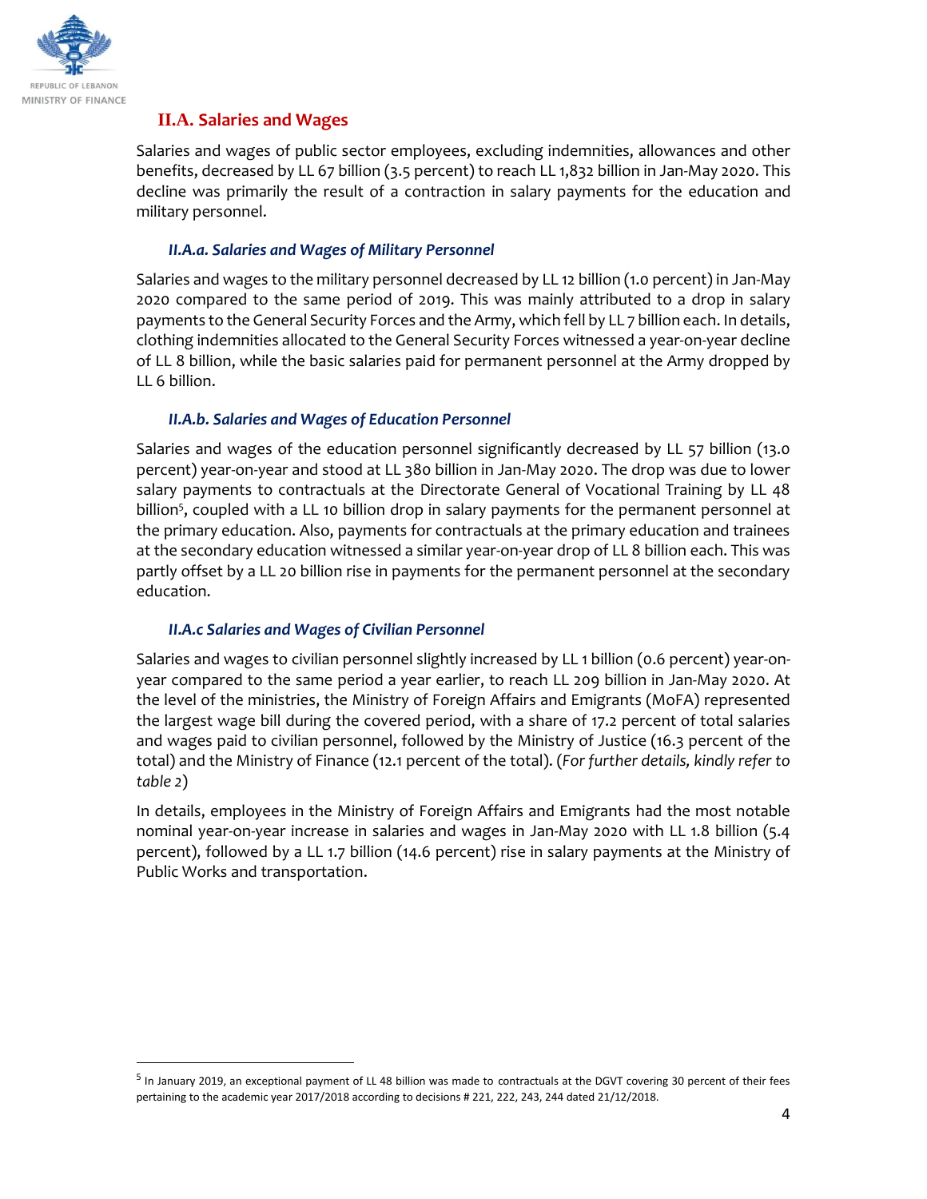

l

## **II.A. Salaries and Wages**

Salaries and wages of public sector employees, excluding indemnities, allowances and other benefits, decreased by LL 67 billion (3.5 percent) to reach LL 1,832 billion in Jan-May 2020. This decline was primarily the result of a contraction in salary payments for the education and military personnel.

#### *II.A.a. Salaries and Wages of Military Personnel*

Salaries and wages to the military personnel decreased by LL 12 billion (1.0 percent) in Jan-May 2020 compared to the same period of 2019. This was mainly attributed to a drop in salary payments to the General Security Forces and the Army, which fell by LL 7 billion each. In details, clothing indemnities allocated to the General Security Forces witnessed a year-on-year decline of LL 8 billion, while the basic salaries paid for permanent personnel at the Army dropped by LL 6 billion.

#### *II.A.b. Salaries and Wages of Education Personnel*

Salaries and wages of the education personnel significantly decreased by LL 57 billion (13.0 percent) year-on-year and stood at LL 380 billion in Jan-May 2020. The drop was due to lower salary payments to contractuals at the Directorate General of Vocational Training by LL 48 billion<sup>5</sup>, coupled with a LL 10 billion drop in salary payments for the permanent personnel at the primary education. Also, payments for contractuals at the primary education and trainees at the secondary education witnessed a similar year-on-year drop of LL 8 billion each. This was partly offset by a LL 20 billion rise in payments for the permanent personnel at the secondary education.

### *II.A.c Salaries and Wages of Civilian Personnel*

Salaries and wages to civilian personnel slightly increased by LL 1 billion (0.6 percent) year-onyear compared to the same period a year earlier, to reach LL 209 billion in Jan-May 2020. At the level of the ministries, the Ministry of Foreign Affairs and Emigrants (MoFA) represented the largest wage bill during the covered period, with a share of 17.2 percent of total salaries and wages paid to civilian personnel, followed by the Ministry of Justice (16.3 percent of the total) and the Ministry of Finance (12.1 percent of the total). (*For further details, kindly refer to table 2*)

In details, employees in the Ministry of Foreign Affairs and Emigrants had the most notable nominal year-on-year increase in salaries and wages in Jan-May 2020 with LL 1.8 billion (5.4 percent), followed by a LL 1.7 billion (14.6 percent) rise in salary payments at the Ministry of Public Works and transportation.

<sup>&</sup>lt;sup>5</sup> In January 2019, an exceptional payment of LL 48 billion was made to contractuals at the DGVT covering 30 percent of their fees pertaining to the academic year 2017/2018 according to decisions # 221, 222, 243, 244 dated 21/12/2018.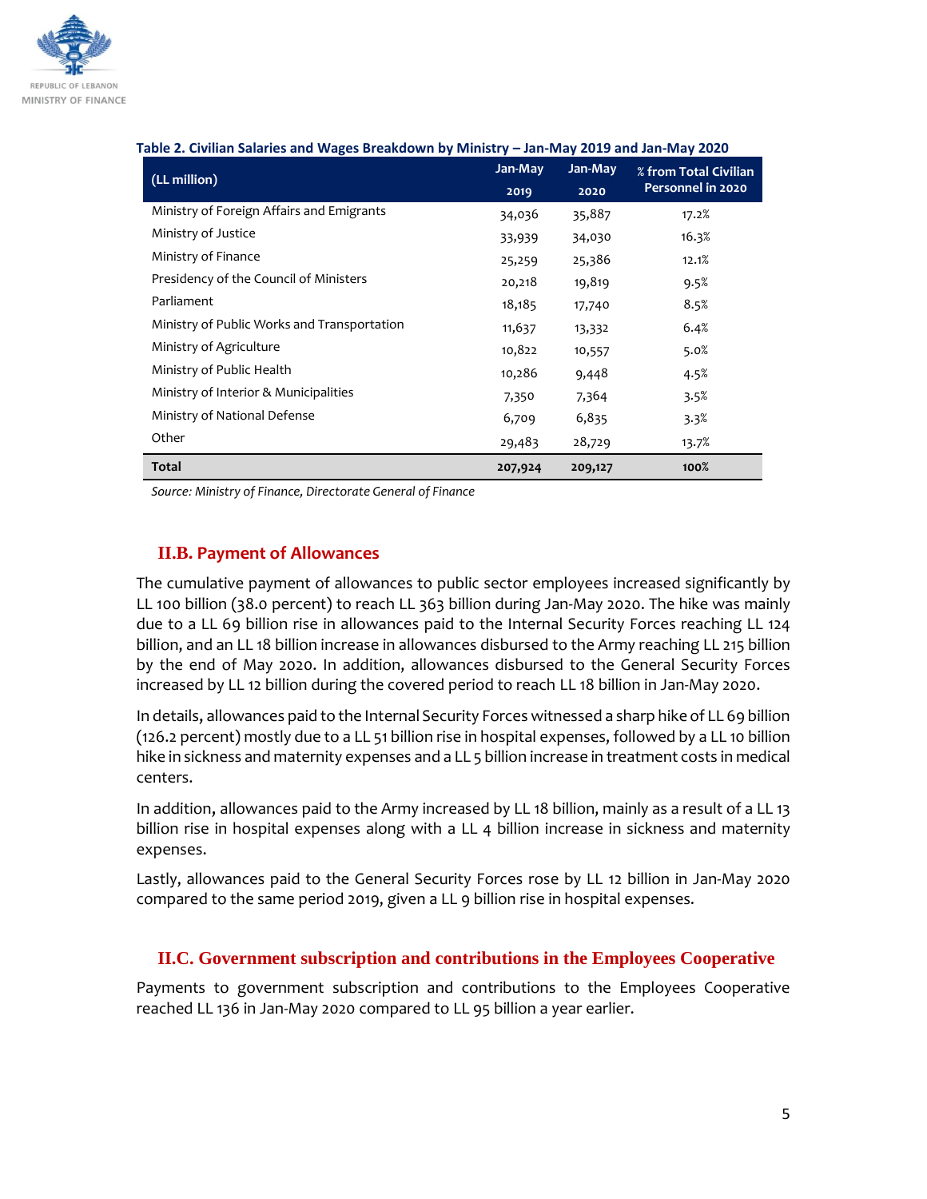

#### **Table 2. Civilian Salaries and Wages Breakdown by Ministry – Jan-May 2019 and Jan-May 2020**

| (LL million)                                | Jan-May | Jan-May | % from Total Civilian<br>Personnel in 2020 |  |
|---------------------------------------------|---------|---------|--------------------------------------------|--|
|                                             | 2019    | 2020    |                                            |  |
| Ministry of Foreign Affairs and Emigrants   | 34,036  | 35,887  | 17.2%                                      |  |
| Ministry of Justice                         | 33,939  | 34,030  | 16.3%                                      |  |
| Ministry of Finance                         | 25,259  | 25,386  | 12.1%                                      |  |
| Presidency of the Council of Ministers      | 20,218  | 19,819  | 9.5%                                       |  |
| Parliament                                  | 18,185  | 17,740  | 8.5%                                       |  |
| Ministry of Public Works and Transportation | 11,637  | 13,332  | 6.4%                                       |  |
| Ministry of Agriculture                     | 10,822  | 10,557  | 5.0%                                       |  |
| Ministry of Public Health                   | 10,286  | 9,448   | 4.5%                                       |  |
| Ministry of Interior & Municipalities       | 7,350   | 7,364   | 3.5%                                       |  |
| Ministry of National Defense                | 6,709   | 6,835   | 3.3%                                       |  |
| Other                                       | 29,483  | 28,729  | 13.7%                                      |  |
| <b>Total</b>                                | 207,924 | 209,127 | 100%                                       |  |

*Source: Ministry of Finance, Directorate General of Finance*

## **II.B. Payment of Allowances**

The cumulative payment of allowances to public sector employees increased significantly by LL 100 billion (38.0 percent) to reach LL 363 billion during Jan-May 2020. The hike was mainly due to a LL 69 billion rise in allowances paid to the Internal Security Forces reaching LL 124 billion, and an LL 18 billion increase in allowances disbursed to the Army reaching LL 215 billion by the end of May 2020. In addition, allowances disbursed to the General Security Forces increased by LL 12 billion during the covered period to reach LL 18 billion in Jan-May 2020.

In details, allowances paid to the Internal Security Forces witnessed a sharp hike of LL 69 billion (126.2 percent) mostly due to a LL 51 billion rise in hospital expenses, followed by a LL 10 billion hike in sickness and maternity expenses and a LL 5 billion increase in treatment costs in medical centers.

In addition, allowances paid to the Army increased by LL 18 billion, mainly as a result of a LL 13 billion rise in hospital expenses along with a LL 4 billion increase in sickness and maternity expenses.

Lastly, allowances paid to the General Security Forces rose by LL 12 billion in Jan-May 2020 compared to the same period 2019, given a LL 9 billion rise in hospital expenses.

### **II.C. Government subscription and contributions in the Employees Cooperative**

Payments to government subscription and contributions to the Employees Cooperative reached LL 136 in Jan-May 2020 compared to LL 95 billion a year earlier.